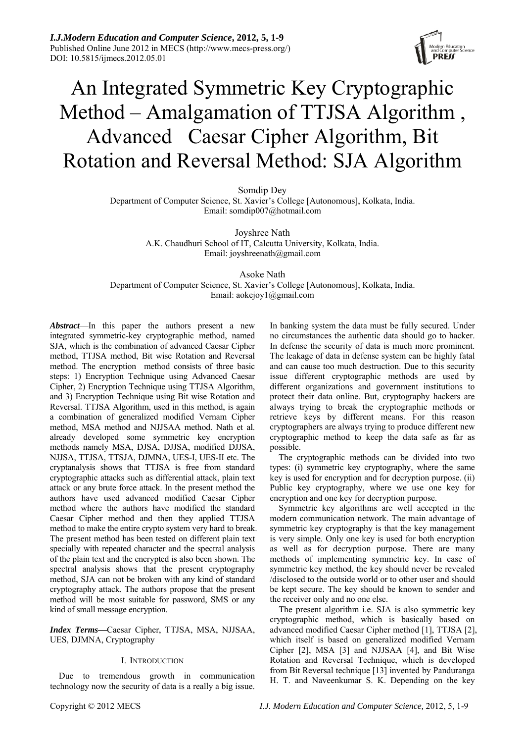

# An Integrated Symmetric Key Cryptographic Method – Amalgamation of TTJSA Algorithm , Advanced Caesar Cipher Algorithm, Bit Rotation and Reversal Method: SJA Algorithm

Somdip Dey

Department of Computer Science, St. Xavier's College [Autonomous], Kolkata, India. Email: somdip007@hotmail.com

> Joyshree Nath A.K. Chaudhuri School of IT, Calcutta University, Kolkata, India. Email: joyshreenath@gmail.com

> > Asoke Nath

Department of Computer Science, St. Xavier's College [Autonomous], Kolkata, India. Email: aokejoy1@gmail.com

*Abstract*—In this paper the authors present a new integrated symmetric-key cryptographic method, named SJA, which is the combination of advanced Caesar Cipher method, TTJSA method, Bit wise Rotation and Reversal method. The encryption method consists of three basic steps: 1) Encryption Technique using Advanced Caesar Cipher, 2) Encryption Technique using TTJSA Algorithm, and 3) Encryption Technique using Bit wise Rotation and Reversal. TTJSA Algorithm, used in this method, is again a combination of generalized modified Vernam Cipher method, MSA method and NJJSAA method. Nath et al. already developed some symmetric key encryption methods namely MSA, DJSA, DJJSA, modified DJJSA, NJJSA, TTJSA, TTSJA, DJMNA, UES-I, UES-II etc. The cryptanalysis shows that TTJSA is free from standard cryptographic attacks such as differential attack, plain text attack or any brute force attack. In the present method the authors have used advanced modified Caesar Cipher method where the authors have modified the standard Caesar Cipher method and then they applied TTJSA method to make the entire crypto system very hard to break. The present method has been tested on different plain text specially with repeated character and the spectral analysis of the plain text and the encrypted is also been shown. The spectral analysis shows that the present cryptography method, SJA can not be broken with any kind of standard cryptography attack. The authors propose that the present method will be most suitable for password, SMS or any kind of small message encryption.

*Index Terms***—**Caesar Cipher, TTJSA, MSA, NJJSAA, UES, DJMNA, Cryptography

# I. INTRODUCTION

Due to tremendous growth in communication technology now the security of data is a really a big issue. In banking system the data must be fully secured. Under no circumstances the authentic data should go to hacker. In defense the security of data is much more prominent. The leakage of data in defense system can be highly fatal and can cause too much destruction. Due to this security issue different cryptographic methods are used by different organizations and government institutions to protect their data online. But, cryptography hackers are always trying to break the cryptographic methods or retrieve keys by different means. For this reason cryptographers are always trying to produce different new cryptographic method to keep the data safe as far as possible.

The cryptographic methods can be divided into two types: (i) symmetric key cryptography, where the same key is used for encryption and for decryption purpose. (ii) Public key cryptography, where we use one key for encryption and one key for decryption purpose.

Symmetric key algorithms are well accepted in the modern communication network. The main advantage of symmetric key cryptography is that the key management is very simple. Only one key is used for both encryption as well as for decryption purpose. There are many methods of implementing symmetric key. In case of symmetric key method, the key should never be revealed /disclosed to the outside world or to other user and should be kept secure. The key should be known to sender and the receiver only and no one else.

The present algorithm i.e. SJA is also symmetric key cryptographic method, which is basically based on advanced modified Caesar Cipher method [1], TTJSA [2], which itself is based on generalized modified Vernam Cipher [2], MSA [3] and NJJSAA [4], and Bit Wise Rotation and Reversal Technique, which is developed from Bit Reversal technique [13] invented by Panduranga H. T. and Naveenkumar S. K. Depending on the key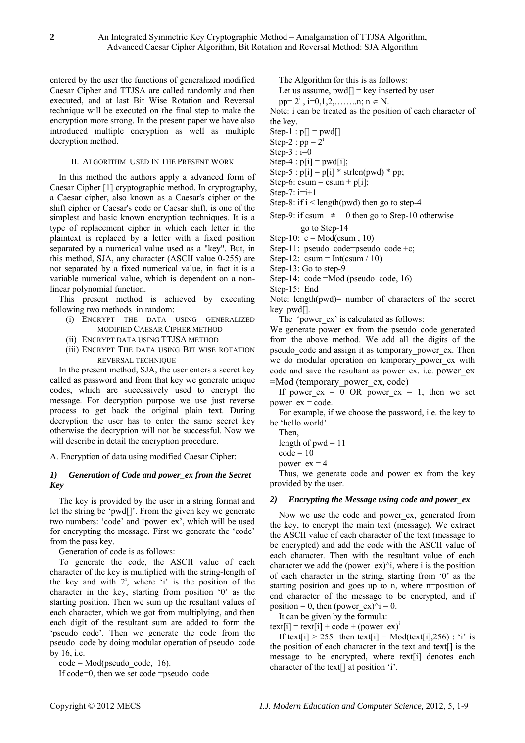entered by the user the functions of generalized modified Caesar Cipher and TTJSA are called randomly and then executed, and at last Bit Wise Rotation and Reversal technique will be executed on the final step to make the encryption more strong. In the present paper we have also introduced multiple encryption as well as multiple decryption method.

## II. ALGORITHM USED IN THE PRESENT WORK

In this method the authors apply a advanced form of Caesar Cipher [1] cryptographic method. In cryptography, a Caesar cipher, also known as a Caesar's cipher or the shift cipher or Caesar's code or Caesar shift, is one of the simplest and basic known encryption techniques. It is a type of replacement cipher in which each letter in the plaintext is replaced by a letter with a fixed position separated by a numerical value used as a "key". But, in this method, SJA, any character (ASCII value 0-255) are not separated by a fixed numerical value, in fact it is a variable numerical value, which is dependent on a nonlinear polynomial function.

This present method is achieved by executing following two methods in random:

- (i) ENCRYPT THE DATA USING GENERALIZED MODIFIED CAESAR CIPHER METHOD
- (ii) ENCRYPT DATA USING TTJSA METHOD
- (iii) ENCRYPT THE DATA USING BIT WISE ROTATION REVERSAL TECHNIQUE

In the present method, SJA, the user enters a secret key called as password and from that key we generate unique codes, which are successively used to encrypt the message. For decryption purpose we use just reverse process to get back the original plain text. During decryption the user has to enter the same secret key otherwise the decryption will not be successful. Now we will describe in detail the encryption procedure.

A. Encryption of data using modified Caesar Cipher:

## *1) Generation of Code and power\_ex from the Secret Key*

The key is provided by the user in a string format and let the string be 'pwd[]'. From the given key we generate two numbers: 'code' and 'power\_ex', which will be used for encrypting the message. First we generate the 'code' from the pass key.

Generation of code is as follows:

To generate the code, the ASCII value of each character of the key is multiplied with the string-length of the key and with  $2^i$ , where 'i' is the position of the character in the key, starting from position '0' as the starting position. Then we sum up the resultant values of each character, which we got from multiplying, and then each digit of the resultant sum are added to form the 'pseudo\_code'. Then we generate the code from the pseudo\_code by doing modular operation of pseudo\_code by 16, i.e.

 $code = Mod(pseudo code, 16).$ 

If code=0, then we set code =pseudo\_code

The Algorithm for this is as follows:

Let us assume,  $\text{pwd}[] = \text{key}$  inserted by user

 $pp=2^{i}$ ,  $i=0,1,2,...,...n;$   $n \in N$ .

Note: i can be treated as the position of each character of the key.

 $Step-1 : p[] = pwd[]$ 

Step-2 :  $pp = 2<sup>1</sup>$ 

- Step- $3$ :  $i=0$
- Step-4 :  $p[i] = pwd[i];$
- Step-5 :  $p[i] = p[i] * strlen(pwd) * pp;$

Step-6: csum = csum +  $p[i]$ ;

Step-7:  $i=i+1$ 

- Step-8: if  $i$  < length(pwd) then go to step-4
- Step-9: if csum  $\neq$  0 then go to Step-10 otherwise go to Step-14

Step-10:  $c = Mod(csum, 10)$ 

Step-11: pseudo code=pseudo code +c;

Step-12:  $\text{csum} = \text{Int}(\text{csum} / 10)$ 

Step-13: Go to step-9

Step-14: code = Mod (pseudo code, 16)

Step-15: End

Note: length $(pwd)$ = number of characters of the secret key pwd[].

The 'power\_ex' is calculated as follows:

We generate power ex from the pseudo code generated from the above method. We add all the digits of the pseudo code and assign it as temporary power ex. Then we do modular operation on temporary\_power\_ex with code and save the resultant as power\_ex. i.e. power\_ex =Mod (temporary\_power\_ex, code)

If power  $ex = 0$  OR power  $ex = 1$ , then we set power  $ex = code$ .

For example, if we choose the password, i.e. the key to be 'hello world'.

Then,

length of  $pwd = 11$ 

 $code = 10$ 

power  $ex = 4$ 

Thus, we generate code and power ex from the key provided by the user.

#### *2) Encrypting the Message using code and power\_ex*

Now we use the code and power ex, generated from the key, to encrypt the main text (message). We extract the ASCII value of each character of the text (message to be encrypted) and add the code with the ASCII value of each character. Then with the resultant value of each character we add the (power  $ex)$ <sup> $\land$ </sup>i, where i is the position of each character in the string, starting from '0' as the starting position and goes up to n, where n=position of end character of the message to be encrypted, and if position = 0, then (power\_ex) $\hat{i} = 0$ .

It can be given by the formula:

text[i] = text[i] + code + (power\_ex)<sup>1</sup>

If text[i]  $> 255$  then text[i] = Mod(text[i],256) : 'i' is the position of each character in the text and text[] is the message to be encrypted, where text[i] denotes each character of the text[] at position 'i'.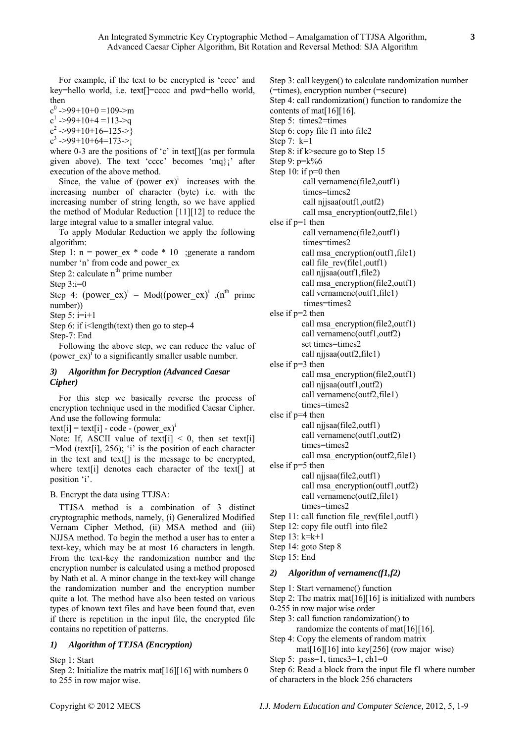For example, if the text to be encrypted is 'cccc' and key=hello world, i.e. text[]=cccc and pwd=hello world, then

 $c^0$  ->99+10+0 =109->m  $c^1$  ->99+10+4 =113->q

 $c^2$ ->99+10+16=125->}

 $c^3$  ->99+10+64=173->;

where 0-3 are the positions of 'c' in text[](as per formula given above). The text 'cccc' becomes 'mq}¡' after execution of the above method.

Since, the value of  $(power ex)^{i}$  increases with the increasing number of character (byte) i.e. with the increasing number of string length, so we have applied the method of Modular Reduction [11][12] to reduce the large integral value to a smaller integral value.

To apply Modular Reduction we apply the following algorithm:

Step 1:  $n = power ex * code * 10$ ; generate a random number 'n' from code and power\_ex

Step 2: calculate  $n<sup>th</sup>$  prime number

Step 3:i=0

Step 4: (power ex)<sup>i</sup> = Mod((power ex)<sup>i</sup>, (n<sup>th</sup> prime number))

Step  $5: i=i+1$ 

Step 6: if  $i$  < length (text) then go to step-4

Step-7: End

Following the above step, we can reduce the value of (power\_ex)<sup>i</sup> to a significantly smaller usable number.

# *3) Algorithm for Decryption (Advanced Caesar Cipher)*

For this step we basically reverse the process of encryption technique used in the modified Caesar Cipher. And use the following formula:

text[i] = text[i] - code - (power\_ex)<sup>i</sup>

Note: If, ASCII value of text[i]  $\leq 0$ , then set text[i] =Mod (text[i], 256); 'i' is the position of each character in the text and text[] is the message to be encrypted, where text[i] denotes each character of the text[] at position 'i'.

# B. Encrypt the data using TTJSA:

TTJSA method is a combination of 3 distinct cryptographic methods, namely, (i) Generalized Modified Vernam Cipher Method, (ii) MSA method and (iii) NJJSA method. To begin the method a user has to enter a text-key, which may be at most 16 characters in length. From the text-key the randomization number and the encryption number is calculated using a method proposed by Nath et al. A minor change in the text-key will change the randomization number and the encryption number quite a lot. The method have also been tested on various types of known text files and have been found that, even if there is repetition in the input file, the encrypted file contains no repetition of patterns.

# *1) Algorithm of TTJSA (Encryption)*

Step 1: Start

Step 2: Initialize the matrix mat<sup>[16]</sup>[16] with numbers 0 to 255 in row major wise.

Step 3: call keygen() to calculate randomization number (=times), encryption number (=secure) Step 4: call randomization() function to randomize the contents of mat[16][16]. Step 5: times2=times Step 6: copy file f1 into file2 Step 7: k=1 Step 8: if k>secure go to Step 15 Step 9: p=k%6 Step 10: if  $p=0$  then call vernamenc(file2,outf1) times=times2 call njjsaa(outf1,outf2) call msa\_encryption(outf2,file1) else if p=1 then call vernamenc(file2,outf1) times=times2 call msa\_encryption(outf1,file1) call file\_rev(file1,outf1) call njjsaa(outf1,file2) call msa\_encryption(file2,outf1) call vernamenc(outf1,file1) times=times2 else if p=2 then call msa\_encryption(file2,outf1) call vernamenc(outf1,outf2) set times=times2 call njjsaa(outf2,file1) else if p=3 then call msa\_encryption(file2,outf1) call njjsaa(outf1,outf2) call vernamenc(outf2,file1) times=times2 else if p=4 then call njjsaa(file2,outf1) call vernamenc(outf1,outf2) times=times2 call msa\_encryption(outf2,file1) else if p=5 then call njjsaa(file2,outf1) call msa\_encryption(outf1,outf2) call vernamenc(outf2,file1) times=times2 Step 11: call function file rev(file1,outf1) Step 12: copy file outf1 into file2 Step 13: k=k+1 Step 14: goto Step 8 Step 15: End

### *2) Algorithm of vernamenc(f1,f2)*

Step 1: Start vernamenc() function

Step 2: The matrix mat $[16][16]$  is initialized with numbers

- 0-255 in row major wise order
- Step 3: call function randomization() to

randomize the contents of mat<sup>[16][16]</sup>.

Step 4: Copy the elements of random matrix mat[16][16] into key[256] (row major wise)

Step 5: pass=1, times $3=1$ , ch $1=0$ 

Step 6: Read a block from the input file f1 where number of characters in the block 256 characters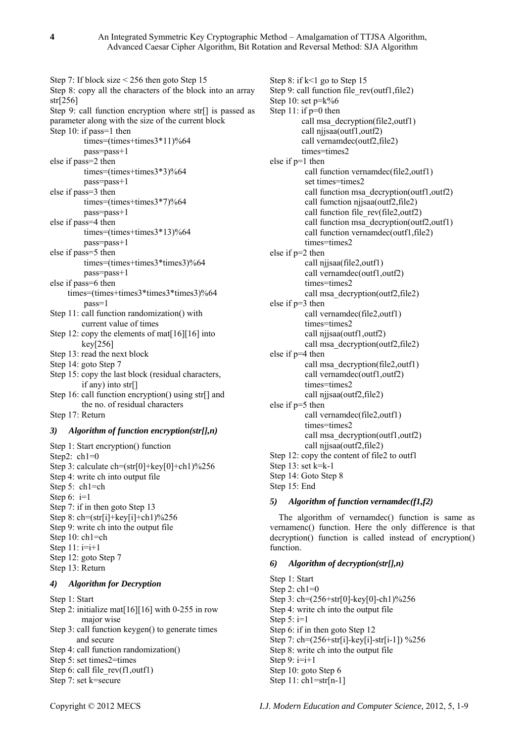Step 7: If block size < 256 then goto Step 15 Step 8: copy all the characters of the block into an array str[256] Step 9: call function encryption where str[] is passed as parameter along with the size of the current block Step 10: if pass=1 then times=(times+times3\*11)%64 pass=pass+1 else if pass=2 then times=(times+times3\*3)%64 pass=pass+1 else if pass=3 then times=(times+times3\*7)%64 pass=pass+1 else if pass=4 then  $times=(times+times3*13)\%64$  pass=pass+1 else if pass=5 then times=(times+times3\*times3)%64 pass=pass+1 else if pass=6 then times=(times+times3\*times3\*times3)%64 pass=1 Step 11: call function randomization() with current value of times Step 12: copy the elements of mat<sup>[16][16]</sup> into key[256] Step 13: read the next block Step 14: goto Step 7 Step 15: copy the last block (residual characters, if any) into  $str[]$ Step 16: call function encryption() using str[] and the no. of residual characters Step 17: Return *3) Algorithm of function encryption(str[],n)*  Step 1: Start encryption() function Step2: ch1=0 Step 3: calculate ch=(str[0]+key[0]+ch1)%256 Step 4: write ch into output file Step 5: ch1=ch Step  $6: i=1$ Step 7: if in then goto Step 13 Step 8:  $\text{ch} = (\text{str}[i] + \text{key}[i] + \text{ch}[i])\%256$ 

Step 9: write ch into the output file Step 10: ch1=ch Step  $11: i=i+1$ Step 12: goto Step 7 Step 13: Return *4) Algorithm for Decryption*  Step 1: Start Step 2: initialize mat<sup>[16][16]</sup> with 0-255 in row

major wise Step 3: call function keygen() to generate times and secure Step 4: call function randomization() Step 5: set times2=times Step 6: call file\_rev(f1,outf1)

Step 7: set k=secure

Step 8: if k<1 go to Step 15 Step 9: call function file rev(outf1,file2) Step 10: set  $p=k\%6$ Step 11: if p=0 then call msa\_decryption(file2,outf1) call njjsaa(outf1,outf2) call vernamdec(outf2,file2) times=times2 else if p=1 then call function vernamdec(file2,outf1) set times=times2 call function msa\_decryption(outf1,outf2) call fumction njjsaa(outf2,file2) call function file rev(file2,outf2) call function msa\_decryption(outf2,outf1) call function vernamdec(outf1,file2) times=times2 else if p=2 then call njjsaa(file2,outf1) call vernamdec(outf1,outf2) times=times2 call msa\_decryption(outf2,file2) else if p=3 then call vernamdec(file2,outf1) times=times2 call njjsaa(outf1,outf2) call msa\_decryption(outf2,file2) else if p=4 then call msa\_decryption(file2,outf1) call vernamdec(outf1,outf2) times=times2 call njjsaa(outf2,file2) else if p=5 then call vernamdec(file2,outf1) times=times2 call msa\_decryption(outf1,outf2) call njjsaa(outf2,file2) Step 12: copy the content of file2 to outf1 Step 13: set k=k-1 Step 14: Goto Step 8 Step 15: End

#### *5) Algorithm of function vernamdec(f1,f2)*

The algorithm of vernamdec() function is same as vernamenc() function. Here the only difference is that decryption() function is called instead of encryption() function.

# *6) Algorithm of decryption(str[],n)*

Step 1: Start Step 2:  $ch1=0$ Step 3: ch=(256+str[0]-key[0]-ch1)%256 Step 4: write ch into the output file Step  $5: i=1$ Step 6: if in then goto Step 12 Step 7: ch=(256+str[i]-key[i]-str[i-1]) %256 Step 8: write ch into the output file Step  $9: i=i+1$ Step 10: goto Step 6 Step 11: ch1=str[n-1]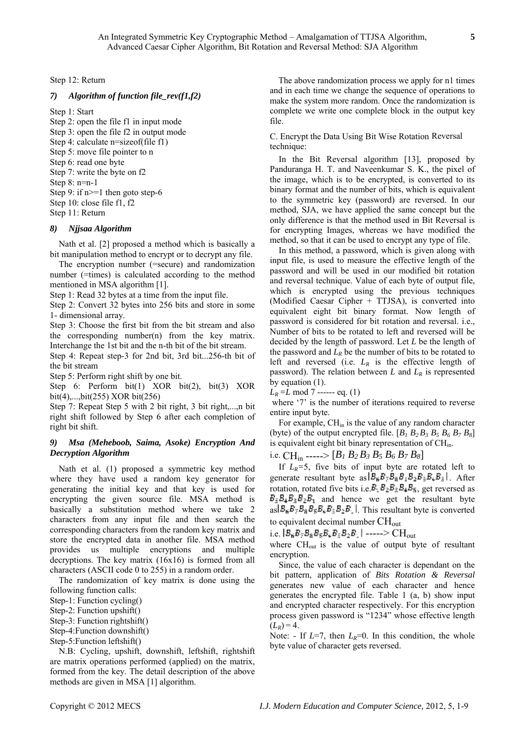Step 12: Return

## *7) Algorithm of function file\_rev(f1,f2)*

Step 1: Start

Step 2: open the file f1 in input mode Step 3: open the file f2 in output mode Step 4: calculate n=sizeof(file f1) Step 5: move file pointer to n Step 6: read one byte Step 7: write the byte on f2 Step 8: n=n-1 Step 9: if  $n>=1$  then goto step-6 Step 10: close file f1, f2 Step 11: Return

#### *8) Njjsaa Algorithm*

Nath et al. [2] proposed a method which is basically a bit manipulation method to encrypt or to decrypt any file.

The encryption number (=secure) and randomization number (=times) is calculated according to the method mentioned in MSA algorithm [1].

Step 1: Read 32 bytes at a time from the input file.

Step 2: Convert 32 bytes into 256 bits and store in some 1- dimensional array.

Step 3: Choose the first bit from the bit stream and also the corresponding number(n) from the key matrix. Interchange the 1st bit and the n-th bit of the bit stream.

Step 4: Repeat step-3 for 2nd bit, 3rd bit...256-th bit of the bit stream

Step 5: Perform right shift by one bit.

Step 6: Perform bit(1) XOR bit(2), bit(3) XOR bit(4),...,bit(255) XOR bit(256)

Step 7: Repeat Step 5 with 2 bit right, 3 bit right,...,n bit right shift followed by Step 6 after each completion of right bit shift.

## *9) Msa (Meheboob, Saima, Asoke) Encryption And Decryption Algorithm*

Nath et al. (1) proposed a symmetric key method where they have used a random key generator for generating the initial key and that key is used for encrypting the given source file. MSA method is basically a substitution method where we take 2 characters from any input file and then search the corresponding characters from the random key matrix and store the encrypted data in another file. MSA method provides us multiple encryptions and multiple decryptions. The key matrix (16x16) is formed from all characters (ASCII code 0 to 255) in a random order.

The randomization of key matrix is done using the following function calls:

Step-1: Function cycling()

- Step-2: Function upshift()
- Step-3: Function rightshift()
- Step-4:Function downshift()
- Step-5:Function leftshift()

N.B: Cycling, upshift, downshift, leftshift, rightshift are matrix operations performed (applied) on the matrix, formed from the key. The detail description of the above methods are given in MSA [1] algorithm.

The above randomization process we apply for n1 times and in each time we change the sequence of operations to make the system more random. Once the randomization is complete we write one complete block in the output key file.

## C. Encrypt the Data Using Bit Wise Rotation Reversal technique:

In the Bit Reversal algorithm [13], proposed by Panduranga H. T. and Naveenkumar S. K., the pixel of the image, which is to be encrypted, is converted to its binary format and the number of bits, which is equivalent to the symmetric key (password) are reversed. In our method, SJA, we have applied the same concept but the only difference is that the method used in Bit Reversal is for encrypting Images, whereas we have modified the method, so that it can be used to encrypt any type of file.

In this method, a password, which is given along with input file, is used to measure the effective length of the password and will be used in our modified bit rotation and reversal technique. Value of each byte of output file, which is encrypted using the previous techniques (Modified Caesar Cipher + TTJSA), is converted into equivalent eight bit binary format. Now length of password is considered for bit rotation and reversal. i.e., Number of bits to be rotated to left and reversed will be decided by the length of password. Let *L* be the length of the password and  $L_R$  be the number of bits to be rotated to left and reversed (i.e.  $L_R$  is the effective length of password). The relation between  $L$  and  $L_R$  is represented by equation (1).

 $L_R = L \mod 7$  ------ eq. (1)

where '7' is the number of iterations required to reverse entire input byte.

For example,  $CH_{in}$  is the value of any random character (byte) of the output encrypted file.  $[B_1 B_2 B_3 B_5 B_6 B_7 B_8]$ is equivalent eight bit binary representation of CH<sub>in</sub>.

i.e. CHin -----> [*B1 B2 B3 B5 B6 B7 B8*]

If  $L_R=5$ , five bits of input byte are rotated left to generate resultant byte as  $|B_6B_7B_8B_1B_2B_8B_4B_5|$ . After rotation, rotated five bits i.e.  $B_1B_2B_3B_4B_5$ , get reversed as  $B_4B_3B_2B_1$  and hence we get the resultant byte as  $B_6B_7B_8B_5B_4B_3B_2B_1$ . This resultant byte is converted to equivalent decimal number  $CH<sub>out</sub>$ 

i.e. 
$$
|B_B B_{\tau} B_B B_S B_{\tau} B_B B_2 B_{\tau}|
$$
 ---- $> CH_{out}$ 

where CH<sub>out</sub> is the value of output byte of resultant encryption.

Since, the value of each character is dependant on the bit pattern, application of *Bits Rotation & Reversal* generates new value of each character and hence generates the encrypted file. Table 1 (a, b) show input and encrypted character respectively. For this encryption process given password is "1234" whose effective length  $(L_R) = 4.$ 

Note: - If  $L=7$ , then  $L<sub>R</sub>=0$ . In this condition, the whole byte value of character gets reversed.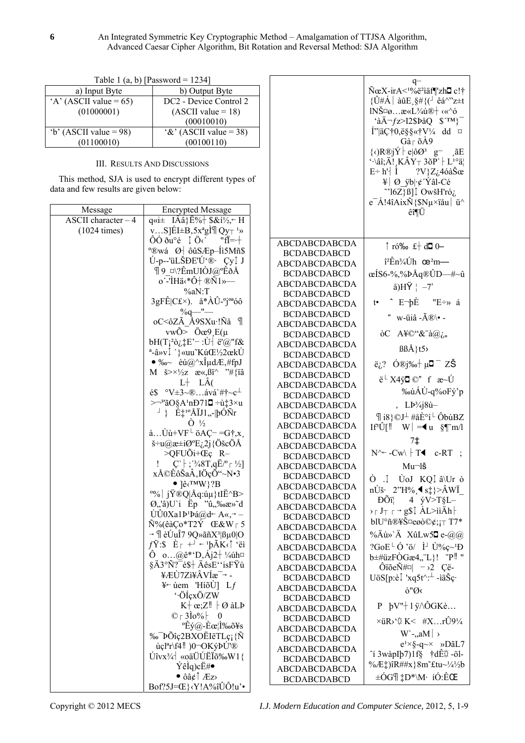$q \text{N}\text{e}X\text{-irA}^{1}\%$ e<sup>2</sup>iäf¶zh**O** c!†  $\{\hat{U} \# \hat{A} \mid \hat{a} \hat{u}E \, , \, \hat{S} \# \{ (\hat{a} \hat{a}^{\wedge \nu} z \pm t \} \}$  $INŠ\square\emptyset...x\ll L^3/4\mathbf{u}\mathbb{R}$   $\ll$   $\sim$  6  $\hat{a}$ Ä $\neg$ fz>I2\$ÞåQ \$TM}  $I^{\prime\prime}$ |ädž0,ë§§«† $V^{\prime\prime}$ 4 dd  $\alpha$  $G\hat{a} \restriction \tilde{o}$ A9  $\{\langle \rangle \mathbb{R} \circ \mathbb{R} \circ \mathbb{I} \circ \mathbb{I} \circ \mathbb{I} \circ \mathbb{I} \circ \mathbb{I} \circ \mathbb{I} \circ \mathbb{I} \circ \mathbb{I} \circ \mathbb{I} \circ \mathbb{I} \circ \mathbb{I} \circ \mathbb{I} \circ \mathbb{I} \circ \mathbb{I} \circ \mathbb{I} \circ \mathbb{I} \circ \mathbb{I} \circ \mathbb{I} \circ \mathbb{I} \circ \mathbb{I} \circ \mathbb{I} \circ \mathbb{I} \circ \mathbb{I} \circ \mathbb{I} \circ \mathbb{I} \$  $\therefore$  \ati, A!, KAY \times 36P \times L \cdot \ating \times 36P \times L \cdot \ating \times 36P \times L \cdot \ating \times 36P \times L \cdot \ating \times 36P \times L \cdot \cdot \ating \cdot \cdot \cdot \cdot \cdot

 $E \div h' \mid \dot{I}$ 

 $2V$ } $Z_{\dot{\alpha}}$ 4óà $\check{S}$ œ

| 1 able 1 (a, b)   Password = $1234$ |                                    |  |
|-------------------------------------|------------------------------------|--|
| a) Input Byte                       | b) Output Byte                     |  |
| $A'$ (ASCII value = 65)             | DC <sub>2</sub> - Device Control 2 |  |
| (01000001)                          | $(ASCII value = 18)$               |  |
|                                     | (00010010)                         |  |
| $b'$ (ASCII value = 98)             | $\&$ (ASCII value = 38)            |  |
| (01100010)                          | (00100110)                         |  |

 $10011$  $-1111$  $1.5 \text{ m}$ 

## **III. RESULTS AND DISCUSSIONS**

This method, SJA is used to encrypt different types of

| $e^-$ Á!4îAixÑ{\$Nµ×ïåu $\dot{u}$<br>Message<br><b>Encrypted Message</b><br>êî¶Ü<br>ASCII character $-4$<br>$q\ll i\pm$ IÂâ} $\ddot{E}\%$ $\uparrow$ \$ & $i\frac{1}{2}$ $\sim$ H<br>vS] $EI \pm B$ , $5x^a gI \parallel Qy \mp 1y$<br>$(1024 \text{ times})$<br>$\hat{O}\hat{O}$ $\delta u^{\circ}$ é $\hat{O}$ $\hat{O}$ $\hat{O}$ $\hat{O}$<br>"fĬ=·+<br><b>ABCDABCDABCDA</b><br>$\uparrow$ ró‰ £ do 0-<br>$^{\circ}$ ®wá Ø ôûSÆp–Íi5Mñ\$<br><b>BCDABCDABCD</b><br>Ú-p--'üLŠĐE'Ú'® ÇyÎ J<br>$\hat{i}^2 \hat{E} \hat{n}^3 / 4 \hat{U}$ h œ $\hat{i}$ m—<br>ABCDABCDABCDA<br>$\P 9$ ¤\?ÊmUIÒJ@°ÊðÅ<br>$\alpha$ IS6-%,%ÞÅq®ÛD—#~û<br><b>BCDABCDABCD</b><br>o'-'ÌHä<*Ô† ®Ñ1»—<br>ABCDABCDABCDA<br>$a)$ HŸ $\mid -7'$<br>$\%aN$ :T<br><b>BCDABCDABCD</b><br>$3gF\hat{E} Cf(x)$ . $\hat{a}*\hat{A}\hat{U}$ -°j <sup>oa</sup> óô<br>$\hat{E}$ E-pE<br>"E $\div$ » á<br>$\mathfrak{t}^\bullet$<br>ABCDABCDABCDA<br>$\%q$ -"-<br><b>BCDABCDABCD</b><br>" w-üiâ - $\tilde{A}$ ®\• -<br>oC<ôZÃ Å9SXu∙!Ñå ¶<br><b>ABCDABCDABCDA</b><br>$vw\tilde{O} > \tilde{O}\alpha$ 9 E(µ<br>$\delta C$ A\\pi \cdot \cdot \cdot \cdot \cdot \cdot \cdot \cdot \cdot \cdot \cdot \cdot \cdot \cdot \cdot \cdot \cdot \cdot \cdot \cdot \cdot \cdot \cdot \cdot \cdot \cdot \cdot \cdot \cdot \cdot \cdot \cdot \cdot \cdot \cdot<br><b>BCDABCDABCD</b><br>$\text{bH}(T_i^2\text{d}_i E - \text{cH} \cdot \text{d}^2)$ e'@"f&<br>ABCDABCDABCDA<br>$BB\AA\}$ t5><br>$a$ -â»v $\downarrow$ '} «uu KúŒ½2œkÙ<br><b>BCDABCDABCD</b><br>• ‰ èú@^xεdÆ,#fpJ<br>$\ddot{e}_i$ ? Ó®j‰ µ <b>¤</b> ZŠ<br>ABCDABCDABCDA<br>M $\check{\sigma} > \times \frac{1}{2}Z$ $\mathcal{R} \times \mathcal{B} \check{\sigma} \hat{\sigma}$ "#{ $\check{\sigma}$<br><b>BCDABCDABCD</b><br>$\ddot{e}$ <sup>L</sup> X4ÿ <b>D</b> ©" f $\ddot{x}$ ~Ú<br>$L$ + $L$ $\rm \AA$ (<br>ABCDABCDABCDA<br>‰ùÁÙ-q%oFý'p<br>$e^{\xi}$ °V $\pm$ 3~® ává`#†~c <sup><math>\perp</math></sup><br><b>BCDABCDABCD</b><br>$\rightarrow$ <sup>3</sup> 'ãO§A <sup>1</sup> nĐ71 <b>0</b> ÷ù‡3×u<br>, $LP3/4 j8u$ <sup>-</sup><br>ABCDABCDABCDA<br>$\downarrow$ } $E^{10}$ Å IJ1,,- $ p\acute{o}Nr $<br><b>BCDABCDABCD</b><br>$\parallel$ i8}©J <sup>⊥</sup> #åȰí <sup>L</sup> ÔbúBZ<br>$\dot{O}$ $\frac{1}{2}$<br>ABCDABCDABCDA<br>$\hat{a} \dots \hat{U} \hat{u} + V F^{\perp} \ddot{o} A C^{-} = G \dagger, x$ ,<br><b>BCDABCDABCD</b><br>7‡<br>$\check{\sigma}$ = u $\omega$ æ ±i $\omega$ °E $_{i}$ 2j{ÖšcÖÅ<br>ABCDABCDABCDA<br>$N^{\wedge}$ -Cw\   T< c-RT ;<br>$\geq QFU\tilde{O}i+CE\varsigma$ R-<br><b>BCDABCDABCD</b><br>$C^{\dagger}$ ; '3/48T,q $E^{0}$ $\lceil$ '/2]<br>$Mu\neg$ lš<br><b>ABCDABCDABCDA</b><br>xÅ©ÊôŠaÂ,IÖçÕ"~N•3<br><b>BCDABCDABCD</b><br>$\dot{O}$ . $\dot{I}$ $\dot{U}oJ$ KQ $\dot{I}$ $\dot{a}$ $\dot{U}r$ $\dot{o}$<br>$\bullet$ ] $\hat{e}$ (TMW}?B<br>ABCDABCDABCDA<br>nÙš $2^{\prime\prime}H\%$ , $\blacktriangleleft$ s $\ddagger$ }>ÂWÏ<br>$\mathcal{O}(1 - \mathcal{I}(\hat{X}) \mathcal{I}(\hat{X}))$ if $\mathcal{I}(\hat{X})$<br><b>BCDABCDABCD</b><br>$\widetilde{\mathrm{DO}}_{1}$<br>4 $\dot{y}V > T\$ L-<br>Ø,,'â)U`i Ëp "û,,%æ»~d<br>ABCDABCDABCDA<br>$\rightarrow \Gamma$ $J_{\top}$ $\Gamma \rightarrow g\$ Î ÀL>ììÄh $\vdash$<br>$\hat{U}\hat{U}0Xa1P^{1}\hat{a}$ $\hat{a}$ $\hat{d}$ $\hat{c}$ A«, $\rightarrow$ -<br><b>BCDABCDABCD</b><br>blU°ñ®¥Š¤eøò©¢; <sub>i⊤</sub> T7*<br>$\tilde{N}\%$ $(\hat{e}\hat{a}Co*T2\hat{Y}$ Œ&W $\bar{5}$<br>ABCDABCDABCDA<br>$\rightarrow$ ¶ èÚuÎ7 9Q» $\tilde{a}$ ñX <sup>3</sup>   $\beta \mu$ 0 O<br>%Äù»`Ä XûLw5 $\Box$ e- $\partial_i \partial_i$<br><b>BCDABCDABCD</b><br>$f\ddot{Y}$ :\$ $\dot{E}_{\perp}$ + $\leftarrow$ $\nu$ <sub>p</sub> $\ddot{A}$ K $\wedge$ $\uparrow$ $\ddot{e}$ i<br>$?GOE^{\perp} \dot{O} \ddot{o} / \dot{l} \dot{l} \dot{U} \%c \sim H$<br><b>ABCDABCDABCDA</b><br>o@ $\hat{e}^*$ °D, $\hat{A}$ j2+ ¼úh¤<br>$b = \#uzF\hat{O}G\mathfrak{B}4$ , L}! "P <sup>"</sup><br><b>BCDABCDABCD</b><br>§Ä3°Ñ?¯è\$† ÄêsE``isFŸù<br>$\widehat{\text{O}}$ ïõe $\widehat{\text{N}}$ # $\varnothing$   ->2 Çë-<br>ABCDABCDABCDA<br>¥ÆÙ7Zì¥ÂVÍæ <sup>-→</sup> -<br>UöS[p:èÎ 'xq5t^: <sup>1</sup> -ìäŠç·<br><b>BCDABCDABCD</b><br>$\ddagger$ wem 'HiõÙ] Lf<br><b>ABCDABCDABCDA</b><br>ò"Ø<<br>$\cdot$ OlçxÖ/ZW<br><b>BCDABCDABCD</b><br>$P$ bV"+1 ÿ $\land$ ÔGKè<br>$K + \alpha Z$ !! $\theta$ àLP<br>ABCDABCDABCDA<br>$\circ$ $\uparrow$ 310% $\uparrow$ 0<br><b>BCDABCDABCD</b><br>$\times$ üR $\times$ $\frac{1}{2}$ K $\times$ $\frac{1}{2}$ K $\times$ rÛ $9\frac{1}{4}$<br>$\mathrm{P}\hat{\mathrm{E}}\mathrm{\acute{y}}(\widehat{\omega}-\hat{\mathrm{E}}\alpha)$ <sup>1</sup> ‰õ¥s<br>ABCDABCDABCDA<br>$W$ -,,aM $\vert \rightarrow$<br>‰ ÞÕîç2BXOËIëTLç¡ {Ñ<br><b>BCDABCDABCD</b><br>$e^{i \times \S - q \sim \times}$ »DãL7<br>$\dot{\mathbf{u}}$ c <sup><math>a</math></sup> r\f4!!)0 $\sim$ OKýÞÚ'®<br>ABCDABCDABCDA<br>$\hat{I}$ 3 wàpIb7)1f§ †dÊ $\hat{\varphi}$ -öl-<br>Uîvx3/4 «oäÜÚËÏõ‰W1{<br><b>BCDABCDABCD</b><br>%Ƈ)îR##x}8m~£tu~¼½b<br>$\acute{Y}$ êlq)c $\ddot{E}$ # $\bullet$<br>ABCDABCDABCDA<br>$\bullet$ ôâ¢↑ Æz><br>$\pm \dot{\text{OG}}$ $\pm \text{D}^* \text{M} \cdot \text{i} \dot{\text{O}}$ : ÊCE<br><b>BCDABCDABCD</b><br>$Bof?5J=CE$ } <y!a%îûô!u'•< th=""><th>data and few results are given below:</th><th>This method, SJA is used to encrypt different types of</th><th></th></y!a%îûô!u'•<> | data and few results are given below: | This method, SJA is used to encrypt different types of |                                                    |
|-------------------------------------------------------------------------------------------------------------------------------------------------------------------------------------------------------------------------------------------------------------------------------------------------------------------------------------------------------------------------------------------------------------------------------------------------------------------------------------------------------------------------------------------------------------------------------------------------------------------------------------------------------------------------------------------------------------------------------------------------------------------------------------------------------------------------------------------------------------------------------------------------------------------------------------------------------------------------------------------------------------------------------------------------------------------------------------------------------------------------------------------------------------------------------------------------------------------------------------------------------------------------------------------------------------------------------------------------------------------------------------------------------------------------------------------------------------------------------------------------------------------------------------------------------------------------------------------------------------------------------------------------------------------------------------------------------------------------------------------------------------------------------------------------------------------------------------------------------------------------------------------------------------------------------------------------------------------------------------------------------------------------------------------------------------------------------------------------------------------------------------------------------------------------------------------------------------------------------------------------------------------------------------------------------------------------------------------------------------------------------------------------------------------------------------------------------------------------------------------------------------------------------------------------------------------------------------------------------------------------------------------------------------------------------------------------------------------------------------------------------------------------------------------------------------------------------------------------------------------------------------------------------------------------------------------------------------------------------------------------------------------------------------------------------------------------------------------------------------------------------------------------------------------------------------------------------------------------------------------------------------------------------------------------------------------------------------------------------------------------------------------------------------------------------------------------------------------------------------------------------------------------------------------------------------------------------------------------------------------------------------------------------------------------------------------------------------------------------------------------------------------------------------------------------------------------------------------------------------------------------------------------------------------------------------------------------------------------------------------------------------------------------------------------------------------------------------------------------------------------------------------------------------------------------------------------------------------------------------------------------------------------------------------------------------------------------------------------------------------------------------------------------------------------------------------------------------------------------------------------------------------------------------------------------------------------------------------------------------------------------------------------------------------------------------------------------------------------------------------------------------------------------------------------------------------------------------------------------------------------------------------------------------------------------------------------------------------------------------------------------------------------------------------------------------------------------------------------------------------------------------------------------------------------------------------------------------------------------------------------------------------------------------------------------------------------------------------------------------------|---------------------------------------|--------------------------------------------------------|----------------------------------------------------|
|                                                                                                                                                                                                                                                                                                                                                                                                                                                                                                                                                                                                                                                                                                                                                                                                                                                                                                                                                                                                                                                                                                                                                                                                                                                                                                                                                                                                                                                                                                                                                                                                                                                                                                                                                                                                                                                                                                                                                                                                                                                                                                                                                                                                                                                                                                                                                                                                                                                                                                                                                                                                                                                                                                                                                                                                                                                                                                                                                                                                                                                                                                                                                                                                                                                                                                                                                                                                                                                                                                                                                                                                                                                                                                                                                                                                                                                                                                                                                                                                                                                                                                                                                                                                                                                                                                                                                                                                                                                                                                                                                                                                                                                                                                                                                                                                                                                                                                                                                                                                                                                                                                                                                                                                                                                                                                                                                                   |                                       |                                                        | " $[6Z\}$ ß] $[$ OwšH'ró <sub><math>i</math></sub> |
|                                                                                                                                                                                                                                                                                                                                                                                                                                                                                                                                                                                                                                                                                                                                                                                                                                                                                                                                                                                                                                                                                                                                                                                                                                                                                                                                                                                                                                                                                                                                                                                                                                                                                                                                                                                                                                                                                                                                                                                                                                                                                                                                                                                                                                                                                                                                                                                                                                                                                                                                                                                                                                                                                                                                                                                                                                                                                                                                                                                                                                                                                                                                                                                                                                                                                                                                                                                                                                                                                                                                                                                                                                                                                                                                                                                                                                                                                                                                                                                                                                                                                                                                                                                                                                                                                                                                                                                                                                                                                                                                                                                                                                                                                                                                                                                                                                                                                                                                                                                                                                                                                                                                                                                                                                                                                                                                                                   |                                       |                                                        |                                                    |
|                                                                                                                                                                                                                                                                                                                                                                                                                                                                                                                                                                                                                                                                                                                                                                                                                                                                                                                                                                                                                                                                                                                                                                                                                                                                                                                                                                                                                                                                                                                                                                                                                                                                                                                                                                                                                                                                                                                                                                                                                                                                                                                                                                                                                                                                                                                                                                                                                                                                                                                                                                                                                                                                                                                                                                                                                                                                                                                                                                                                                                                                                                                                                                                                                                                                                                                                                                                                                                                                                                                                                                                                                                                                                                                                                                                                                                                                                                                                                                                                                                                                                                                                                                                                                                                                                                                                                                                                                                                                                                                                                                                                                                                                                                                                                                                                                                                                                                                                                                                                                                                                                                                                                                                                                                                                                                                                                                   |                                       |                                                        |                                                    |
|                                                                                                                                                                                                                                                                                                                                                                                                                                                                                                                                                                                                                                                                                                                                                                                                                                                                                                                                                                                                                                                                                                                                                                                                                                                                                                                                                                                                                                                                                                                                                                                                                                                                                                                                                                                                                                                                                                                                                                                                                                                                                                                                                                                                                                                                                                                                                                                                                                                                                                                                                                                                                                                                                                                                                                                                                                                                                                                                                                                                                                                                                                                                                                                                                                                                                                                                                                                                                                                                                                                                                                                                                                                                                                                                                                                                                                                                                                                                                                                                                                                                                                                                                                                                                                                                                                                                                                                                                                                                                                                                                                                                                                                                                                                                                                                                                                                                                                                                                                                                                                                                                                                                                                                                                                                                                                                                                                   |                                       |                                                        |                                                    |
|                                                                                                                                                                                                                                                                                                                                                                                                                                                                                                                                                                                                                                                                                                                                                                                                                                                                                                                                                                                                                                                                                                                                                                                                                                                                                                                                                                                                                                                                                                                                                                                                                                                                                                                                                                                                                                                                                                                                                                                                                                                                                                                                                                                                                                                                                                                                                                                                                                                                                                                                                                                                                                                                                                                                                                                                                                                                                                                                                                                                                                                                                                                                                                                                                                                                                                                                                                                                                                                                                                                                                                                                                                                                                                                                                                                                                                                                                                                                                                                                                                                                                                                                                                                                                                                                                                                                                                                                                                                                                                                                                                                                                                                                                                                                                                                                                                                                                                                                                                                                                                                                                                                                                                                                                                                                                                                                                                   |                                       |                                                        |                                                    |
|                                                                                                                                                                                                                                                                                                                                                                                                                                                                                                                                                                                                                                                                                                                                                                                                                                                                                                                                                                                                                                                                                                                                                                                                                                                                                                                                                                                                                                                                                                                                                                                                                                                                                                                                                                                                                                                                                                                                                                                                                                                                                                                                                                                                                                                                                                                                                                                                                                                                                                                                                                                                                                                                                                                                                                                                                                                                                                                                                                                                                                                                                                                                                                                                                                                                                                                                                                                                                                                                                                                                                                                                                                                                                                                                                                                                                                                                                                                                                                                                                                                                                                                                                                                                                                                                                                                                                                                                                                                                                                                                                                                                                                                                                                                                                                                                                                                                                                                                                                                                                                                                                                                                                                                                                                                                                                                                                                   |                                       |                                                        |                                                    |
|                                                                                                                                                                                                                                                                                                                                                                                                                                                                                                                                                                                                                                                                                                                                                                                                                                                                                                                                                                                                                                                                                                                                                                                                                                                                                                                                                                                                                                                                                                                                                                                                                                                                                                                                                                                                                                                                                                                                                                                                                                                                                                                                                                                                                                                                                                                                                                                                                                                                                                                                                                                                                                                                                                                                                                                                                                                                                                                                                                                                                                                                                                                                                                                                                                                                                                                                                                                                                                                                                                                                                                                                                                                                                                                                                                                                                                                                                                                                                                                                                                                                                                                                                                                                                                                                                                                                                                                                                                                                                                                                                                                                                                                                                                                                                                                                                                                                                                                                                                                                                                                                                                                                                                                                                                                                                                                                                                   |                                       |                                                        |                                                    |
|                                                                                                                                                                                                                                                                                                                                                                                                                                                                                                                                                                                                                                                                                                                                                                                                                                                                                                                                                                                                                                                                                                                                                                                                                                                                                                                                                                                                                                                                                                                                                                                                                                                                                                                                                                                                                                                                                                                                                                                                                                                                                                                                                                                                                                                                                                                                                                                                                                                                                                                                                                                                                                                                                                                                                                                                                                                                                                                                                                                                                                                                                                                                                                                                                                                                                                                                                                                                                                                                                                                                                                                                                                                                                                                                                                                                                                                                                                                                                                                                                                                                                                                                                                                                                                                                                                                                                                                                                                                                                                                                                                                                                                                                                                                                                                                                                                                                                                                                                                                                                                                                                                                                                                                                                                                                                                                                                                   |                                       |                                                        |                                                    |
|                                                                                                                                                                                                                                                                                                                                                                                                                                                                                                                                                                                                                                                                                                                                                                                                                                                                                                                                                                                                                                                                                                                                                                                                                                                                                                                                                                                                                                                                                                                                                                                                                                                                                                                                                                                                                                                                                                                                                                                                                                                                                                                                                                                                                                                                                                                                                                                                                                                                                                                                                                                                                                                                                                                                                                                                                                                                                                                                                                                                                                                                                                                                                                                                                                                                                                                                                                                                                                                                                                                                                                                                                                                                                                                                                                                                                                                                                                                                                                                                                                                                                                                                                                                                                                                                                                                                                                                                                                                                                                                                                                                                                                                                                                                                                                                                                                                                                                                                                                                                                                                                                                                                                                                                                                                                                                                                                                   |                                       |                                                        |                                                    |
|                                                                                                                                                                                                                                                                                                                                                                                                                                                                                                                                                                                                                                                                                                                                                                                                                                                                                                                                                                                                                                                                                                                                                                                                                                                                                                                                                                                                                                                                                                                                                                                                                                                                                                                                                                                                                                                                                                                                                                                                                                                                                                                                                                                                                                                                                                                                                                                                                                                                                                                                                                                                                                                                                                                                                                                                                                                                                                                                                                                                                                                                                                                                                                                                                                                                                                                                                                                                                                                                                                                                                                                                                                                                                                                                                                                                                                                                                                                                                                                                                                                                                                                                                                                                                                                                                                                                                                                                                                                                                                                                                                                                                                                                                                                                                                                                                                                                                                                                                                                                                                                                                                                                                                                                                                                                                                                                                                   |                                       |                                                        |                                                    |
|                                                                                                                                                                                                                                                                                                                                                                                                                                                                                                                                                                                                                                                                                                                                                                                                                                                                                                                                                                                                                                                                                                                                                                                                                                                                                                                                                                                                                                                                                                                                                                                                                                                                                                                                                                                                                                                                                                                                                                                                                                                                                                                                                                                                                                                                                                                                                                                                                                                                                                                                                                                                                                                                                                                                                                                                                                                                                                                                                                                                                                                                                                                                                                                                                                                                                                                                                                                                                                                                                                                                                                                                                                                                                                                                                                                                                                                                                                                                                                                                                                                                                                                                                                                                                                                                                                                                                                                                                                                                                                                                                                                                                                                                                                                                                                                                                                                                                                                                                                                                                                                                                                                                                                                                                                                                                                                                                                   |                                       |                                                        |                                                    |
|                                                                                                                                                                                                                                                                                                                                                                                                                                                                                                                                                                                                                                                                                                                                                                                                                                                                                                                                                                                                                                                                                                                                                                                                                                                                                                                                                                                                                                                                                                                                                                                                                                                                                                                                                                                                                                                                                                                                                                                                                                                                                                                                                                                                                                                                                                                                                                                                                                                                                                                                                                                                                                                                                                                                                                                                                                                                                                                                                                                                                                                                                                                                                                                                                                                                                                                                                                                                                                                                                                                                                                                                                                                                                                                                                                                                                                                                                                                                                                                                                                                                                                                                                                                                                                                                                                                                                                                                                                                                                                                                                                                                                                                                                                                                                                                                                                                                                                                                                                                                                                                                                                                                                                                                                                                                                                                                                                   |                                       |                                                        |                                                    |
|                                                                                                                                                                                                                                                                                                                                                                                                                                                                                                                                                                                                                                                                                                                                                                                                                                                                                                                                                                                                                                                                                                                                                                                                                                                                                                                                                                                                                                                                                                                                                                                                                                                                                                                                                                                                                                                                                                                                                                                                                                                                                                                                                                                                                                                                                                                                                                                                                                                                                                                                                                                                                                                                                                                                                                                                                                                                                                                                                                                                                                                                                                                                                                                                                                                                                                                                                                                                                                                                                                                                                                                                                                                                                                                                                                                                                                                                                                                                                                                                                                                                                                                                                                                                                                                                                                                                                                                                                                                                                                                                                                                                                                                                                                                                                                                                                                                                                                                                                                                                                                                                                                                                                                                                                                                                                                                                                                   |                                       |                                                        |                                                    |
|                                                                                                                                                                                                                                                                                                                                                                                                                                                                                                                                                                                                                                                                                                                                                                                                                                                                                                                                                                                                                                                                                                                                                                                                                                                                                                                                                                                                                                                                                                                                                                                                                                                                                                                                                                                                                                                                                                                                                                                                                                                                                                                                                                                                                                                                                                                                                                                                                                                                                                                                                                                                                                                                                                                                                                                                                                                                                                                                                                                                                                                                                                                                                                                                                                                                                                                                                                                                                                                                                                                                                                                                                                                                                                                                                                                                                                                                                                                                                                                                                                                                                                                                                                                                                                                                                                                                                                                                                                                                                                                                                                                                                                                                                                                                                                                                                                                                                                                                                                                                                                                                                                                                                                                                                                                                                                                                                                   |                                       |                                                        |                                                    |
|                                                                                                                                                                                                                                                                                                                                                                                                                                                                                                                                                                                                                                                                                                                                                                                                                                                                                                                                                                                                                                                                                                                                                                                                                                                                                                                                                                                                                                                                                                                                                                                                                                                                                                                                                                                                                                                                                                                                                                                                                                                                                                                                                                                                                                                                                                                                                                                                                                                                                                                                                                                                                                                                                                                                                                                                                                                                                                                                                                                                                                                                                                                                                                                                                                                                                                                                                                                                                                                                                                                                                                                                                                                                                                                                                                                                                                                                                                                                                                                                                                                                                                                                                                                                                                                                                                                                                                                                                                                                                                                                                                                                                                                                                                                                                                                                                                                                                                                                                                                                                                                                                                                                                                                                                                                                                                                                                                   |                                       |                                                        |                                                    |
|                                                                                                                                                                                                                                                                                                                                                                                                                                                                                                                                                                                                                                                                                                                                                                                                                                                                                                                                                                                                                                                                                                                                                                                                                                                                                                                                                                                                                                                                                                                                                                                                                                                                                                                                                                                                                                                                                                                                                                                                                                                                                                                                                                                                                                                                                                                                                                                                                                                                                                                                                                                                                                                                                                                                                                                                                                                                                                                                                                                                                                                                                                                                                                                                                                                                                                                                                                                                                                                                                                                                                                                                                                                                                                                                                                                                                                                                                                                                                                                                                                                                                                                                                                                                                                                                                                                                                                                                                                                                                                                                                                                                                                                                                                                                                                                                                                                                                                                                                                                                                                                                                                                                                                                                                                                                                                                                                                   |                                       |                                                        |                                                    |
|                                                                                                                                                                                                                                                                                                                                                                                                                                                                                                                                                                                                                                                                                                                                                                                                                                                                                                                                                                                                                                                                                                                                                                                                                                                                                                                                                                                                                                                                                                                                                                                                                                                                                                                                                                                                                                                                                                                                                                                                                                                                                                                                                                                                                                                                                                                                                                                                                                                                                                                                                                                                                                                                                                                                                                                                                                                                                                                                                                                                                                                                                                                                                                                                                                                                                                                                                                                                                                                                                                                                                                                                                                                                                                                                                                                                                                                                                                                                                                                                                                                                                                                                                                                                                                                                                                                                                                                                                                                                                                                                                                                                                                                                                                                                                                                                                                                                                                                                                                                                                                                                                                                                                                                                                                                                                                                                                                   |                                       |                                                        |                                                    |
|                                                                                                                                                                                                                                                                                                                                                                                                                                                                                                                                                                                                                                                                                                                                                                                                                                                                                                                                                                                                                                                                                                                                                                                                                                                                                                                                                                                                                                                                                                                                                                                                                                                                                                                                                                                                                                                                                                                                                                                                                                                                                                                                                                                                                                                                                                                                                                                                                                                                                                                                                                                                                                                                                                                                                                                                                                                                                                                                                                                                                                                                                                                                                                                                                                                                                                                                                                                                                                                                                                                                                                                                                                                                                                                                                                                                                                                                                                                                                                                                                                                                                                                                                                                                                                                                                                                                                                                                                                                                                                                                                                                                                                                                                                                                                                                                                                                                                                                                                                                                                                                                                                                                                                                                                                                                                                                                                                   |                                       |                                                        |                                                    |
|                                                                                                                                                                                                                                                                                                                                                                                                                                                                                                                                                                                                                                                                                                                                                                                                                                                                                                                                                                                                                                                                                                                                                                                                                                                                                                                                                                                                                                                                                                                                                                                                                                                                                                                                                                                                                                                                                                                                                                                                                                                                                                                                                                                                                                                                                                                                                                                                                                                                                                                                                                                                                                                                                                                                                                                                                                                                                                                                                                                                                                                                                                                                                                                                                                                                                                                                                                                                                                                                                                                                                                                                                                                                                                                                                                                                                                                                                                                                                                                                                                                                                                                                                                                                                                                                                                                                                                                                                                                                                                                                                                                                                                                                                                                                                                                                                                                                                                                                                                                                                                                                                                                                                                                                                                                                                                                                                                   |                                       |                                                        |                                                    |
|                                                                                                                                                                                                                                                                                                                                                                                                                                                                                                                                                                                                                                                                                                                                                                                                                                                                                                                                                                                                                                                                                                                                                                                                                                                                                                                                                                                                                                                                                                                                                                                                                                                                                                                                                                                                                                                                                                                                                                                                                                                                                                                                                                                                                                                                                                                                                                                                                                                                                                                                                                                                                                                                                                                                                                                                                                                                                                                                                                                                                                                                                                                                                                                                                                                                                                                                                                                                                                                                                                                                                                                                                                                                                                                                                                                                                                                                                                                                                                                                                                                                                                                                                                                                                                                                                                                                                                                                                                                                                                                                                                                                                                                                                                                                                                                                                                                                                                                                                                                                                                                                                                                                                                                                                                                                                                                                                                   |                                       |                                                        |                                                    |
|                                                                                                                                                                                                                                                                                                                                                                                                                                                                                                                                                                                                                                                                                                                                                                                                                                                                                                                                                                                                                                                                                                                                                                                                                                                                                                                                                                                                                                                                                                                                                                                                                                                                                                                                                                                                                                                                                                                                                                                                                                                                                                                                                                                                                                                                                                                                                                                                                                                                                                                                                                                                                                                                                                                                                                                                                                                                                                                                                                                                                                                                                                                                                                                                                                                                                                                                                                                                                                                                                                                                                                                                                                                                                                                                                                                                                                                                                                                                                                                                                                                                                                                                                                                                                                                                                                                                                                                                                                                                                                                                                                                                                                                                                                                                                                                                                                                                                                                                                                                                                                                                                                                                                                                                                                                                                                                                                                   |                                       |                                                        |                                                    |
|                                                                                                                                                                                                                                                                                                                                                                                                                                                                                                                                                                                                                                                                                                                                                                                                                                                                                                                                                                                                                                                                                                                                                                                                                                                                                                                                                                                                                                                                                                                                                                                                                                                                                                                                                                                                                                                                                                                                                                                                                                                                                                                                                                                                                                                                                                                                                                                                                                                                                                                                                                                                                                                                                                                                                                                                                                                                                                                                                                                                                                                                                                                                                                                                                                                                                                                                                                                                                                                                                                                                                                                                                                                                                                                                                                                                                                                                                                                                                                                                                                                                                                                                                                                                                                                                                                                                                                                                                                                                                                                                                                                                                                                                                                                                                                                                                                                                                                                                                                                                                                                                                                                                                                                                                                                                                                                                                                   |                                       |                                                        |                                                    |
|                                                                                                                                                                                                                                                                                                                                                                                                                                                                                                                                                                                                                                                                                                                                                                                                                                                                                                                                                                                                                                                                                                                                                                                                                                                                                                                                                                                                                                                                                                                                                                                                                                                                                                                                                                                                                                                                                                                                                                                                                                                                                                                                                                                                                                                                                                                                                                                                                                                                                                                                                                                                                                                                                                                                                                                                                                                                                                                                                                                                                                                                                                                                                                                                                                                                                                                                                                                                                                                                                                                                                                                                                                                                                                                                                                                                                                                                                                                                                                                                                                                                                                                                                                                                                                                                                                                                                                                                                                                                                                                                                                                                                                                                                                                                                                                                                                                                                                                                                                                                                                                                                                                                                                                                                                                                                                                                                                   |                                       |                                                        |                                                    |
|                                                                                                                                                                                                                                                                                                                                                                                                                                                                                                                                                                                                                                                                                                                                                                                                                                                                                                                                                                                                                                                                                                                                                                                                                                                                                                                                                                                                                                                                                                                                                                                                                                                                                                                                                                                                                                                                                                                                                                                                                                                                                                                                                                                                                                                                                                                                                                                                                                                                                                                                                                                                                                                                                                                                                                                                                                                                                                                                                                                                                                                                                                                                                                                                                                                                                                                                                                                                                                                                                                                                                                                                                                                                                                                                                                                                                                                                                                                                                                                                                                                                                                                                                                                                                                                                                                                                                                                                                                                                                                                                                                                                                                                                                                                                                                                                                                                                                                                                                                                                                                                                                                                                                                                                                                                                                                                                                                   |                                       |                                                        |                                                    |
|                                                                                                                                                                                                                                                                                                                                                                                                                                                                                                                                                                                                                                                                                                                                                                                                                                                                                                                                                                                                                                                                                                                                                                                                                                                                                                                                                                                                                                                                                                                                                                                                                                                                                                                                                                                                                                                                                                                                                                                                                                                                                                                                                                                                                                                                                                                                                                                                                                                                                                                                                                                                                                                                                                                                                                                                                                                                                                                                                                                                                                                                                                                                                                                                                                                                                                                                                                                                                                                                                                                                                                                                                                                                                                                                                                                                                                                                                                                                                                                                                                                                                                                                                                                                                                                                                                                                                                                                                                                                                                                                                                                                                                                                                                                                                                                                                                                                                                                                                                                                                                                                                                                                                                                                                                                                                                                                                                   |                                       |                                                        |                                                    |
|                                                                                                                                                                                                                                                                                                                                                                                                                                                                                                                                                                                                                                                                                                                                                                                                                                                                                                                                                                                                                                                                                                                                                                                                                                                                                                                                                                                                                                                                                                                                                                                                                                                                                                                                                                                                                                                                                                                                                                                                                                                                                                                                                                                                                                                                                                                                                                                                                                                                                                                                                                                                                                                                                                                                                                                                                                                                                                                                                                                                                                                                                                                                                                                                                                                                                                                                                                                                                                                                                                                                                                                                                                                                                                                                                                                                                                                                                                                                                                                                                                                                                                                                                                                                                                                                                                                                                                                                                                                                                                                                                                                                                                                                                                                                                                                                                                                                                                                                                                                                                                                                                                                                                                                                                                                                                                                                                                   |                                       |                                                        |                                                    |
|                                                                                                                                                                                                                                                                                                                                                                                                                                                                                                                                                                                                                                                                                                                                                                                                                                                                                                                                                                                                                                                                                                                                                                                                                                                                                                                                                                                                                                                                                                                                                                                                                                                                                                                                                                                                                                                                                                                                                                                                                                                                                                                                                                                                                                                                                                                                                                                                                                                                                                                                                                                                                                                                                                                                                                                                                                                                                                                                                                                                                                                                                                                                                                                                                                                                                                                                                                                                                                                                                                                                                                                                                                                                                                                                                                                                                                                                                                                                                                                                                                                                                                                                                                                                                                                                                                                                                                                                                                                                                                                                                                                                                                                                                                                                                                                                                                                                                                                                                                                                                                                                                                                                                                                                                                                                                                                                                                   |                                       |                                                        |                                                    |
|                                                                                                                                                                                                                                                                                                                                                                                                                                                                                                                                                                                                                                                                                                                                                                                                                                                                                                                                                                                                                                                                                                                                                                                                                                                                                                                                                                                                                                                                                                                                                                                                                                                                                                                                                                                                                                                                                                                                                                                                                                                                                                                                                                                                                                                                                                                                                                                                                                                                                                                                                                                                                                                                                                                                                                                                                                                                                                                                                                                                                                                                                                                                                                                                                                                                                                                                                                                                                                                                                                                                                                                                                                                                                                                                                                                                                                                                                                                                                                                                                                                                                                                                                                                                                                                                                                                                                                                                                                                                                                                                                                                                                                                                                                                                                                                                                                                                                                                                                                                                                                                                                                                                                                                                                                                                                                                                                                   |                                       |                                                        |                                                    |
|                                                                                                                                                                                                                                                                                                                                                                                                                                                                                                                                                                                                                                                                                                                                                                                                                                                                                                                                                                                                                                                                                                                                                                                                                                                                                                                                                                                                                                                                                                                                                                                                                                                                                                                                                                                                                                                                                                                                                                                                                                                                                                                                                                                                                                                                                                                                                                                                                                                                                                                                                                                                                                                                                                                                                                                                                                                                                                                                                                                                                                                                                                                                                                                                                                                                                                                                                                                                                                                                                                                                                                                                                                                                                                                                                                                                                                                                                                                                                                                                                                                                                                                                                                                                                                                                                                                                                                                                                                                                                                                                                                                                                                                                                                                                                                                                                                                                                                                                                                                                                                                                                                                                                                                                                                                                                                                                                                   |                                       |                                                        |                                                    |
|                                                                                                                                                                                                                                                                                                                                                                                                                                                                                                                                                                                                                                                                                                                                                                                                                                                                                                                                                                                                                                                                                                                                                                                                                                                                                                                                                                                                                                                                                                                                                                                                                                                                                                                                                                                                                                                                                                                                                                                                                                                                                                                                                                                                                                                                                                                                                                                                                                                                                                                                                                                                                                                                                                                                                                                                                                                                                                                                                                                                                                                                                                                                                                                                                                                                                                                                                                                                                                                                                                                                                                                                                                                                                                                                                                                                                                                                                                                                                                                                                                                                                                                                                                                                                                                                                                                                                                                                                                                                                                                                                                                                                                                                                                                                                                                                                                                                                                                                                                                                                                                                                                                                                                                                                                                                                                                                                                   |                                       |                                                        |                                                    |
|                                                                                                                                                                                                                                                                                                                                                                                                                                                                                                                                                                                                                                                                                                                                                                                                                                                                                                                                                                                                                                                                                                                                                                                                                                                                                                                                                                                                                                                                                                                                                                                                                                                                                                                                                                                                                                                                                                                                                                                                                                                                                                                                                                                                                                                                                                                                                                                                                                                                                                                                                                                                                                                                                                                                                                                                                                                                                                                                                                                                                                                                                                                                                                                                                                                                                                                                                                                                                                                                                                                                                                                                                                                                                                                                                                                                                                                                                                                                                                                                                                                                                                                                                                                                                                                                                                                                                                                                                                                                                                                                                                                                                                                                                                                                                                                                                                                                                                                                                                                                                                                                                                                                                                                                                                                                                                                                                                   |                                       |                                                        |                                                    |
|                                                                                                                                                                                                                                                                                                                                                                                                                                                                                                                                                                                                                                                                                                                                                                                                                                                                                                                                                                                                                                                                                                                                                                                                                                                                                                                                                                                                                                                                                                                                                                                                                                                                                                                                                                                                                                                                                                                                                                                                                                                                                                                                                                                                                                                                                                                                                                                                                                                                                                                                                                                                                                                                                                                                                                                                                                                                                                                                                                                                                                                                                                                                                                                                                                                                                                                                                                                                                                                                                                                                                                                                                                                                                                                                                                                                                                                                                                                                                                                                                                                                                                                                                                                                                                                                                                                                                                                                                                                                                                                                                                                                                                                                                                                                                                                                                                                                                                                                                                                                                                                                                                                                                                                                                                                                                                                                                                   |                                       |                                                        |                                                    |
|                                                                                                                                                                                                                                                                                                                                                                                                                                                                                                                                                                                                                                                                                                                                                                                                                                                                                                                                                                                                                                                                                                                                                                                                                                                                                                                                                                                                                                                                                                                                                                                                                                                                                                                                                                                                                                                                                                                                                                                                                                                                                                                                                                                                                                                                                                                                                                                                                                                                                                                                                                                                                                                                                                                                                                                                                                                                                                                                                                                                                                                                                                                                                                                                                                                                                                                                                                                                                                                                                                                                                                                                                                                                                                                                                                                                                                                                                                                                                                                                                                                                                                                                                                                                                                                                                                                                                                                                                                                                                                                                                                                                                                                                                                                                                                                                                                                                                                                                                                                                                                                                                                                                                                                                                                                                                                                                                                   |                                       |                                                        |                                                    |
|                                                                                                                                                                                                                                                                                                                                                                                                                                                                                                                                                                                                                                                                                                                                                                                                                                                                                                                                                                                                                                                                                                                                                                                                                                                                                                                                                                                                                                                                                                                                                                                                                                                                                                                                                                                                                                                                                                                                                                                                                                                                                                                                                                                                                                                                                                                                                                                                                                                                                                                                                                                                                                                                                                                                                                                                                                                                                                                                                                                                                                                                                                                                                                                                                                                                                                                                                                                                                                                                                                                                                                                                                                                                                                                                                                                                                                                                                                                                                                                                                                                                                                                                                                                                                                                                                                                                                                                                                                                                                                                                                                                                                                                                                                                                                                                                                                                                                                                                                                                                                                                                                                                                                                                                                                                                                                                                                                   |                                       |                                                        |                                                    |
|                                                                                                                                                                                                                                                                                                                                                                                                                                                                                                                                                                                                                                                                                                                                                                                                                                                                                                                                                                                                                                                                                                                                                                                                                                                                                                                                                                                                                                                                                                                                                                                                                                                                                                                                                                                                                                                                                                                                                                                                                                                                                                                                                                                                                                                                                                                                                                                                                                                                                                                                                                                                                                                                                                                                                                                                                                                                                                                                                                                                                                                                                                                                                                                                                                                                                                                                                                                                                                                                                                                                                                                                                                                                                                                                                                                                                                                                                                                                                                                                                                                                                                                                                                                                                                                                                                                                                                                                                                                                                                                                                                                                                                                                                                                                                                                                                                                                                                                                                                                                                                                                                                                                                                                                                                                                                                                                                                   |                                       |                                                        |                                                    |
|                                                                                                                                                                                                                                                                                                                                                                                                                                                                                                                                                                                                                                                                                                                                                                                                                                                                                                                                                                                                                                                                                                                                                                                                                                                                                                                                                                                                                                                                                                                                                                                                                                                                                                                                                                                                                                                                                                                                                                                                                                                                                                                                                                                                                                                                                                                                                                                                                                                                                                                                                                                                                                                                                                                                                                                                                                                                                                                                                                                                                                                                                                                                                                                                                                                                                                                                                                                                                                                                                                                                                                                                                                                                                                                                                                                                                                                                                                                                                                                                                                                                                                                                                                                                                                                                                                                                                                                                                                                                                                                                                                                                                                                                                                                                                                                                                                                                                                                                                                                                                                                                                                                                                                                                                                                                                                                                                                   |                                       |                                                        |                                                    |
|                                                                                                                                                                                                                                                                                                                                                                                                                                                                                                                                                                                                                                                                                                                                                                                                                                                                                                                                                                                                                                                                                                                                                                                                                                                                                                                                                                                                                                                                                                                                                                                                                                                                                                                                                                                                                                                                                                                                                                                                                                                                                                                                                                                                                                                                                                                                                                                                                                                                                                                                                                                                                                                                                                                                                                                                                                                                                                                                                                                                                                                                                                                                                                                                                                                                                                                                                                                                                                                                                                                                                                                                                                                                                                                                                                                                                                                                                                                                                                                                                                                                                                                                                                                                                                                                                                                                                                                                                                                                                                                                                                                                                                                                                                                                                                                                                                                                                                                                                                                                                                                                                                                                                                                                                                                                                                                                                                   |                                       |                                                        |                                                    |
|                                                                                                                                                                                                                                                                                                                                                                                                                                                                                                                                                                                                                                                                                                                                                                                                                                                                                                                                                                                                                                                                                                                                                                                                                                                                                                                                                                                                                                                                                                                                                                                                                                                                                                                                                                                                                                                                                                                                                                                                                                                                                                                                                                                                                                                                                                                                                                                                                                                                                                                                                                                                                                                                                                                                                                                                                                                                                                                                                                                                                                                                                                                                                                                                                                                                                                                                                                                                                                                                                                                                                                                                                                                                                                                                                                                                                                                                                                                                                                                                                                                                                                                                                                                                                                                                                                                                                                                                                                                                                                                                                                                                                                                                                                                                                                                                                                                                                                                                                                                                                                                                                                                                                                                                                                                                                                                                                                   |                                       |                                                        |                                                    |
|                                                                                                                                                                                                                                                                                                                                                                                                                                                                                                                                                                                                                                                                                                                                                                                                                                                                                                                                                                                                                                                                                                                                                                                                                                                                                                                                                                                                                                                                                                                                                                                                                                                                                                                                                                                                                                                                                                                                                                                                                                                                                                                                                                                                                                                                                                                                                                                                                                                                                                                                                                                                                                                                                                                                                                                                                                                                                                                                                                                                                                                                                                                                                                                                                                                                                                                                                                                                                                                                                                                                                                                                                                                                                                                                                                                                                                                                                                                                                                                                                                                                                                                                                                                                                                                                                                                                                                                                                                                                                                                                                                                                                                                                                                                                                                                                                                                                                                                                                                                                                                                                                                                                                                                                                                                                                                                                                                   |                                       |                                                        |                                                    |
|                                                                                                                                                                                                                                                                                                                                                                                                                                                                                                                                                                                                                                                                                                                                                                                                                                                                                                                                                                                                                                                                                                                                                                                                                                                                                                                                                                                                                                                                                                                                                                                                                                                                                                                                                                                                                                                                                                                                                                                                                                                                                                                                                                                                                                                                                                                                                                                                                                                                                                                                                                                                                                                                                                                                                                                                                                                                                                                                                                                                                                                                                                                                                                                                                                                                                                                                                                                                                                                                                                                                                                                                                                                                                                                                                                                                                                                                                                                                                                                                                                                                                                                                                                                                                                                                                                                                                                                                                                                                                                                                                                                                                                                                                                                                                                                                                                                                                                                                                                                                                                                                                                                                                                                                                                                                                                                                                                   |                                       |                                                        |                                                    |
|                                                                                                                                                                                                                                                                                                                                                                                                                                                                                                                                                                                                                                                                                                                                                                                                                                                                                                                                                                                                                                                                                                                                                                                                                                                                                                                                                                                                                                                                                                                                                                                                                                                                                                                                                                                                                                                                                                                                                                                                                                                                                                                                                                                                                                                                                                                                                                                                                                                                                                                                                                                                                                                                                                                                                                                                                                                                                                                                                                                                                                                                                                                                                                                                                                                                                                                                                                                                                                                                                                                                                                                                                                                                                                                                                                                                                                                                                                                                                                                                                                                                                                                                                                                                                                                                                                                                                                                                                                                                                                                                                                                                                                                                                                                                                                                                                                                                                                                                                                                                                                                                                                                                                                                                                                                                                                                                                                   |                                       |                                                        |                                                    |
|                                                                                                                                                                                                                                                                                                                                                                                                                                                                                                                                                                                                                                                                                                                                                                                                                                                                                                                                                                                                                                                                                                                                                                                                                                                                                                                                                                                                                                                                                                                                                                                                                                                                                                                                                                                                                                                                                                                                                                                                                                                                                                                                                                                                                                                                                                                                                                                                                                                                                                                                                                                                                                                                                                                                                                                                                                                                                                                                                                                                                                                                                                                                                                                                                                                                                                                                                                                                                                                                                                                                                                                                                                                                                                                                                                                                                                                                                                                                                                                                                                                                                                                                                                                                                                                                                                                                                                                                                                                                                                                                                                                                                                                                                                                                                                                                                                                                                                                                                                                                                                                                                                                                                                                                                                                                                                                                                                   |                                       |                                                        |                                                    |
|                                                                                                                                                                                                                                                                                                                                                                                                                                                                                                                                                                                                                                                                                                                                                                                                                                                                                                                                                                                                                                                                                                                                                                                                                                                                                                                                                                                                                                                                                                                                                                                                                                                                                                                                                                                                                                                                                                                                                                                                                                                                                                                                                                                                                                                                                                                                                                                                                                                                                                                                                                                                                                                                                                                                                                                                                                                                                                                                                                                                                                                                                                                                                                                                                                                                                                                                                                                                                                                                                                                                                                                                                                                                                                                                                                                                                                                                                                                                                                                                                                                                                                                                                                                                                                                                                                                                                                                                                                                                                                                                                                                                                                                                                                                                                                                                                                                                                                                                                                                                                                                                                                                                                                                                                                                                                                                                                                   |                                       |                                                        |                                                    |
|                                                                                                                                                                                                                                                                                                                                                                                                                                                                                                                                                                                                                                                                                                                                                                                                                                                                                                                                                                                                                                                                                                                                                                                                                                                                                                                                                                                                                                                                                                                                                                                                                                                                                                                                                                                                                                                                                                                                                                                                                                                                                                                                                                                                                                                                                                                                                                                                                                                                                                                                                                                                                                                                                                                                                                                                                                                                                                                                                                                                                                                                                                                                                                                                                                                                                                                                                                                                                                                                                                                                                                                                                                                                                                                                                                                                                                                                                                                                                                                                                                                                                                                                                                                                                                                                                                                                                                                                                                                                                                                                                                                                                                                                                                                                                                                                                                                                                                                                                                                                                                                                                                                                                                                                                                                                                                                                                                   |                                       |                                                        |                                                    |
|                                                                                                                                                                                                                                                                                                                                                                                                                                                                                                                                                                                                                                                                                                                                                                                                                                                                                                                                                                                                                                                                                                                                                                                                                                                                                                                                                                                                                                                                                                                                                                                                                                                                                                                                                                                                                                                                                                                                                                                                                                                                                                                                                                                                                                                                                                                                                                                                                                                                                                                                                                                                                                                                                                                                                                                                                                                                                                                                                                                                                                                                                                                                                                                                                                                                                                                                                                                                                                                                                                                                                                                                                                                                                                                                                                                                                                                                                                                                                                                                                                                                                                                                                                                                                                                                                                                                                                                                                                                                                                                                                                                                                                                                                                                                                                                                                                                                                                                                                                                                                                                                                                                                                                                                                                                                                                                                                                   |                                       |                                                        |                                                    |
|                                                                                                                                                                                                                                                                                                                                                                                                                                                                                                                                                                                                                                                                                                                                                                                                                                                                                                                                                                                                                                                                                                                                                                                                                                                                                                                                                                                                                                                                                                                                                                                                                                                                                                                                                                                                                                                                                                                                                                                                                                                                                                                                                                                                                                                                                                                                                                                                                                                                                                                                                                                                                                                                                                                                                                                                                                                                                                                                                                                                                                                                                                                                                                                                                                                                                                                                                                                                                                                                                                                                                                                                                                                                                                                                                                                                                                                                                                                                                                                                                                                                                                                                                                                                                                                                                                                                                                                                                                                                                                                                                                                                                                                                                                                                                                                                                                                                                                                                                                                                                                                                                                                                                                                                                                                                                                                                                                   |                                       |                                                        |                                                    |
|                                                                                                                                                                                                                                                                                                                                                                                                                                                                                                                                                                                                                                                                                                                                                                                                                                                                                                                                                                                                                                                                                                                                                                                                                                                                                                                                                                                                                                                                                                                                                                                                                                                                                                                                                                                                                                                                                                                                                                                                                                                                                                                                                                                                                                                                                                                                                                                                                                                                                                                                                                                                                                                                                                                                                                                                                                                                                                                                                                                                                                                                                                                                                                                                                                                                                                                                                                                                                                                                                                                                                                                                                                                                                                                                                                                                                                                                                                                                                                                                                                                                                                                                                                                                                                                                                                                                                                                                                                                                                                                                                                                                                                                                                                                                                                                                                                                                                                                                                                                                                                                                                                                                                                                                                                                                                                                                                                   |                                       |                                                        |                                                    |
|                                                                                                                                                                                                                                                                                                                                                                                                                                                                                                                                                                                                                                                                                                                                                                                                                                                                                                                                                                                                                                                                                                                                                                                                                                                                                                                                                                                                                                                                                                                                                                                                                                                                                                                                                                                                                                                                                                                                                                                                                                                                                                                                                                                                                                                                                                                                                                                                                                                                                                                                                                                                                                                                                                                                                                                                                                                                                                                                                                                                                                                                                                                                                                                                                                                                                                                                                                                                                                                                                                                                                                                                                                                                                                                                                                                                                                                                                                                                                                                                                                                                                                                                                                                                                                                                                                                                                                                                                                                                                                                                                                                                                                                                                                                                                                                                                                                                                                                                                                                                                                                                                                                                                                                                                                                                                                                                                                   |                                       |                                                        |                                                    |
|                                                                                                                                                                                                                                                                                                                                                                                                                                                                                                                                                                                                                                                                                                                                                                                                                                                                                                                                                                                                                                                                                                                                                                                                                                                                                                                                                                                                                                                                                                                                                                                                                                                                                                                                                                                                                                                                                                                                                                                                                                                                                                                                                                                                                                                                                                                                                                                                                                                                                                                                                                                                                                                                                                                                                                                                                                                                                                                                                                                                                                                                                                                                                                                                                                                                                                                                                                                                                                                                                                                                                                                                                                                                                                                                                                                                                                                                                                                                                                                                                                                                                                                                                                                                                                                                                                                                                                                                                                                                                                                                                                                                                                                                                                                                                                                                                                                                                                                                                                                                                                                                                                                                                                                                                                                                                                                                                                   |                                       |                                                        |                                                    |

I.J. Modern Education and Computer Science, 2012, 5, 1-9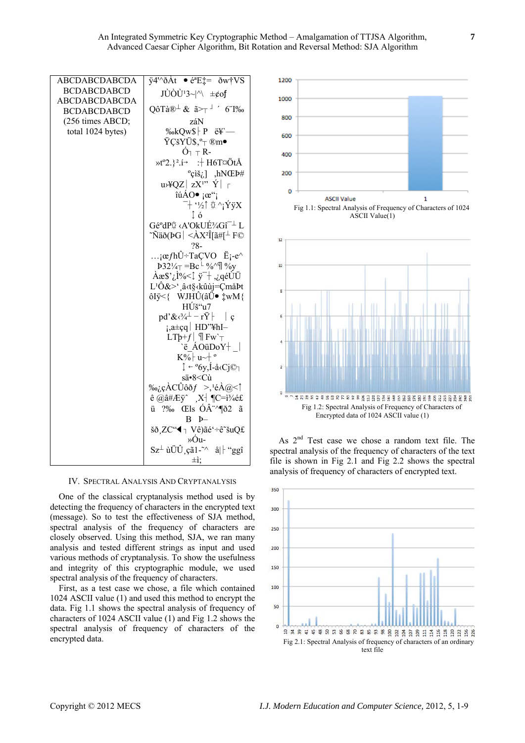| <b>ABCDABCDABCDA</b> | $\overline{y}$ 4'^ $\delta$ Àt $\bullet$ é <sup>a</sup> E‡= $\delta$ w†VS                                          |
|----------------------|--------------------------------------------------------------------------------------------------------------------|
| <b>BCDABCDABCD</b>   | $J\dot{U}\dot{O}\dot{U}^{1}3\sim  \Uparrow \pm \phi$ of                                                            |
| <b>ABCDABCDABCDA</b> |                                                                                                                    |
| <b>BCDABCDABCD</b>   | QôTà $\mathbb{R}^{\perp}$ & $\tilde{a}$ $\geq \tau$ <sup><math>\perp</math></sup> 6 1‰                             |
| (256 times ABCD;     | záN                                                                                                                |
| total 1024 bytes)    | ‰kQw\$ P륗                                                                                                          |
|                      | ŸÇšYÜ\$, <sup>o</sup> ⊤ ®m•                                                                                        |
|                      | $\acute{O}_{7}$ $\top$ R-                                                                                          |
|                      | »t <sup>o</sup> 2.} <sup>2</sup> .í→ : + H6T¤ÖtÅ                                                                   |
|                      | $\text{°chi}, \text{)}$ ,hNŒÞ#                                                                                     |
|                      | $u \rightarrow 4QZ$ $ zX^{1}$ $\gamma$ $ $ $ $                                                                     |
|                      | $\hat{\mathfrak{u}}$ ÁO $\bullet$ $\mathfrak{g}$ <sup>cc</sup>                                                     |
|                      | $\overline{a}$ + '½↑ \ $\overline{y}$ ^ $\overline{y}$ $\overline{y}$ $\overline{y}$ $\overline{y}$ $\overline{y}$ |
|                      | ↑ó                                                                                                                 |
|                      | Gé°dP☆ <a'okuɾgî<sup>-⊥ L</a'okuɾgî<sup>                                                                           |
|                      | ~Ñäð(ÞG $ <$ ÀX²Î[ã#[ $\perp$ F©                                                                                   |
|                      | $28 -$                                                                                                             |
|                      | $i\alpha f h \hat{U}$ ÷TaÇVO Ë $i$ -e^                                                                             |
|                      | $E_2^{1/4} = Bc^{\perp} \%$ / $\sqrt{ }$ % $V_0$                                                                   |
|                      | Àæ\$' <sub>i</sub> ,ì%<↓ ÿ¯† ,¿qéÙÜ                                                                                |
|                      | L <sup>1</sup> Ô&>',â <t§<kûùj=çmåþt< td=""></t§<kûùj=çmåþt<>                                                      |
|                      | ôIÿ<{ WJHÛ(âÜ● ‡wM{                                                                                                |
|                      | HÚš"u7                                                                                                             |
|                      | pd'& $\langle \sqrt[3]{4} - r\ddot{Y} \rangle$   c                                                                 |
|                      | ¡,a±çq HD"¥hI-                                                                                                     |
|                      | $LT\mathfrak{b}+f$   $\mathfrak{P}$ Fw' <sub>T</sub>                                                               |
|                      | $\forall$ ë ÁOüDoY $\dagger$                                                                                       |
|                      | $K\sqrt{2}$ u~+ °                                                                                                  |
|                      | ↓ ~ °6y,Í-å‹Cj© <sub>7</sub>                                                                                       |
|                      | sä•8 <cù< td=""></cù<>                                                                                             |
|                      | ‰¿çÀCÛôðf >, <sup>1</sup> éÀ@<↑<br>$\hat{e}$ @ $\hat{a}$ #Æÿ^ X <sup>-</sup>   ¶C= $i^3$ 4é£                       |
|                      |                                                                                                                    |
|                      | ü ?‰ Œls ÓÂ <sup>∴</sup> ^¶ð2 ã<br>$B$ $p-$                                                                        |
|                      |                                                                                                                    |
|                      | šð,ZC"◀ ┐ Vê)ãé'÷ê~šuQ£<br>»Óu-                                                                                    |
|                      | $Sz^{\perp}$ ùÜÛ, çã1- <sup><math>\wedge</math></sup> å  $\H$ "ggî                                                 |
|                      |                                                                                                                    |
|                      | ±ì:                                                                                                                |

**IV. SPECTRAL ANALYSIS AND CRYPTANALYSIS** 

One of the classical cryptanalysis method used is by detecting the frequency of characters in the encrypted text (message). So to test the effectiveness of SJA method, spectral analysis of the frequency of characters are closely observed. Using this method. SJA, we ran many analysis and tested different strings as input and used various methods of cryptanalysis. To show the usefulness and integrity of this cryptographic module, we used spectral analysis of the frequency of characters.

First, as a test case we chose, a file which contained 1024 ASCII value (1) and used this method to encrypt the data. Fig 1.1 shows the spectral analysis of frequency of characters of 1024 ASCII value (1) and Fig 1.2 shows the spectral analysis of frequency of characters of the encrypted data.





As 2<sup>nd</sup> Test case we chose a random text file. The spectral analysis of the frequency of characters of the text file is shown in Fig 2.1 and Fig 2.2 shows the spectral analysis of frequency of characters of encrypted text.

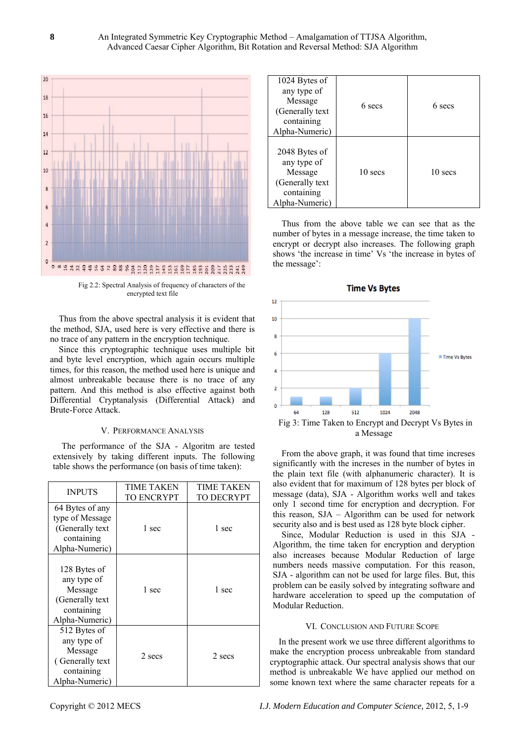

Fig 2.2: Spectral Analysis of frequency of characters of the encrypted text file

Thus from the above spectral analysis it is evident that the method, SJA, used here is very effective and there is no trace of any pattern in the encryption technique.

Since this cryptographic technique uses multiple bit and byte level encryption, which again occurs multiple times, for this reason, the method used here is unique and almost unbreakable because there is no trace of any pattern. And this method is also effective against both Differential Cryptanalysis (Differential Attack) and Brute-Force Attack.

## V. PERFORMANCE ANALYSIS

The performance of the SJA - Algoritm are tested extensively by taking different inputs. The following table shows the performance (on basis of time taken):

| <b>INPUTS</b>                                                                              | TIME TAKEN<br>TO ENCRYPT | TIME TAKEN<br><b>TO DECRYPT</b> |
|--------------------------------------------------------------------------------------------|--------------------------|---------------------------------|
| 64 Bytes of any<br>type of Message<br>(Generally text<br>containing<br>Alpha-Numeric)      | 1 sec                    | 1 sec                           |
| 128 Bytes of<br>any type of<br>Message<br>(Generally text<br>containing<br>Alpha-Numeric)  | 1 sec                    | 1 sec                           |
| 512 Bytes of<br>any type of<br>Message<br>(Generally text)<br>containing<br>Alpha-Numeric) | 2 secs                   | 2 secs                          |

| 1024 Bytes of<br>any type of<br>Message<br>(Generally text<br>containing<br>Alpha-Numeric) | 6 secs  | 6 secs  |
|--------------------------------------------------------------------------------------------|---------|---------|
| 2048 Bytes of<br>any type of<br>Message<br>(Generally text<br>containing<br>Alpha-Numeric) | 10 secs | 10 secs |

Thus from the above table we can see that as the number of bytes in a message increase, the time taken to encrypt or decrypt also increases. The following graph shows 'the increase in time' Vs 'the increase in bytes of the message':



a Message

From the above graph, it was found that time increses significantly with the increses in the number of bytes in the plain text file (with alphanumeric character). It is also evident that for maximum of 128 bytes per block of message (data), SJA - Algorithm works well and takes only 1 second time for encryption and decryption. For this reason, SJA – Algorithm can be used for network security also and is best used as 128 byte block cipher.

Since, Modular Reduction is used in this SJA - Algorithm, the time taken for encryption and deryption also increases because Modular Reduction of large numbers needs massive computation. For this reason, SJA - algorithm can not be used for large files. But, this problem can be easily solved by integrating software and hardware acceleration to speed up the computation of Modular Reduction.

## VI. CONCLUSION AND FUTURE SCOPE

In the present work we use three different algorithms to make the encryption process unbreakable from standard cryptographic attack. Our spectral analysis shows that our method is unbreakable We have applied our method on some known text where the same character repeats for a